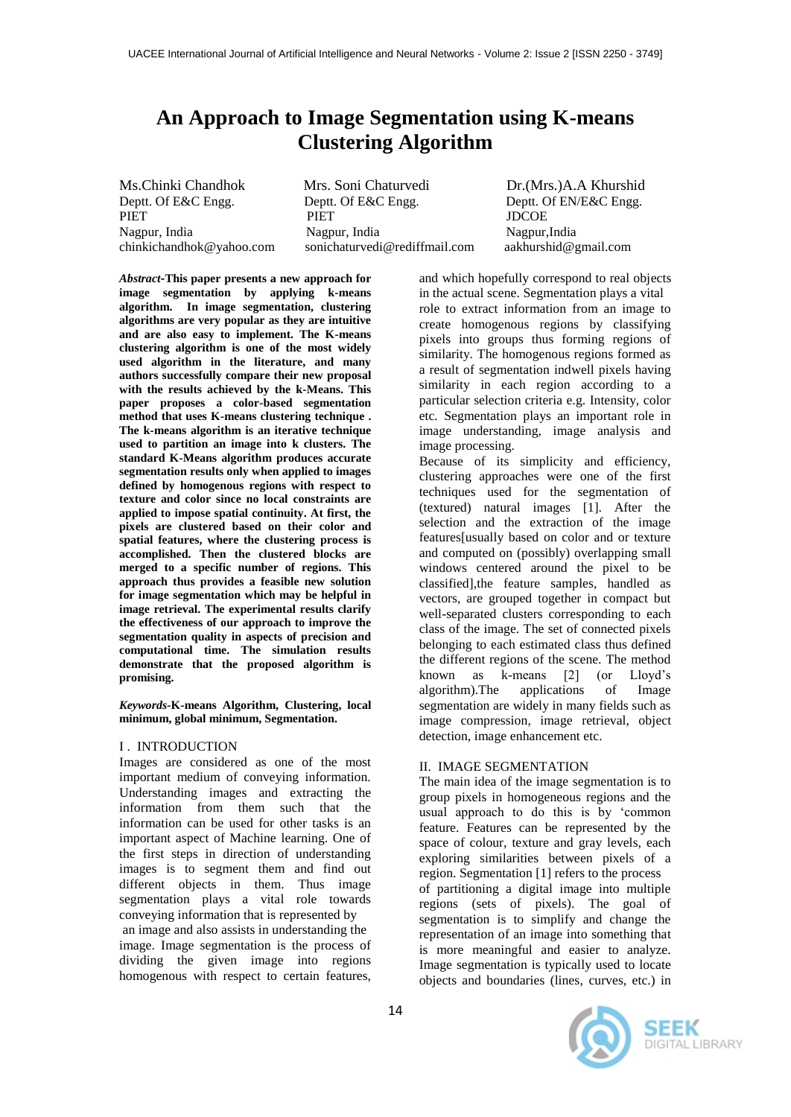# **An Approach to Image Segmentation using K-means Clustering Algorithm**

Ms.Chinki Chandhok Mrs. Soni Chaturvedi Dr.(Mrs.)A.A Khurshid<br>Deptt. Of E&C Engg. Deptt. Of EN/E&C Engg. Deptt. Of E&C Engg. Deptt. Of EN/E&C Engg. PIET PIET DOOE Nagpur, India Nagpur, India Nagpur,India [chinkichandhok@yahoo.com](mailto:chinkichandhok@yahoo.com) [sonichaturvedi@rediffmail.com](mailto:sonichaturvedi@rediffmail.com) [aakhurshid@gmail.com](mailto:aakhurshid@gmail.com)

*Abstract-***This paper presents a new approach for image segmentation by applying k-means algorithm. In image segmentation, clustering algorithms are very popular as they are intuitive and are also easy to implement. The K-means clustering algorithm is one of the most widely used algorithm in the literature, and many authors successfully compare their new proposal with the results achieved by the k-Means. This paper proposes a color-based segmentation method that uses K-means clustering technique . The k-means algorithm is an iterative technique used to partition an image into k clusters. The standard K-Means algorithm produces accurate segmentation results only when applied to images defined by homogenous regions with respect to texture and color since no local constraints are applied to impose spatial continuity. At first, the pixels are clustered based on their color and spatial features, where the clustering process is accomplished. Then the clustered blocks are merged to a specific number of regions. This approach thus provides a feasible new solution for image segmentation which may be helpful in image retrieval. The experimental results clarify the effectiveness of our approach to improve the segmentation quality in aspects of precision and computational time. The simulation results demonstrate that the proposed algorithm is promising.**

#### *Keywords-***K-means Algorithm, Clustering, local minimum, global minimum, Segmentation.**

#### I . INTRODUCTION

Images are considered as one of the most important medium of conveying information. Understanding images and extracting the information from them such that the information can be used for other tasks is an important aspect of Machine learning. One of the first steps in direction of understanding images is to segment them and find out different objects in them. Thus image segmentation plays a vital role towards conveying information that is represented by an image and also assists in understanding the image. Image segmentation is the process of dividing the given image into regions homogenous with respect to certain features,

and which hopefully correspond to real objects in the actual scene. Segmentation plays a vital role to extract information from an image to create homogenous regions by classifying pixels into groups thus forming regions of similarity. The homogenous regions formed as a result of segmentation indwell pixels having similarity in each region according to a particular selection criteria e.g. Intensity, color etc. Segmentation plays an important role in image understanding, image analysis and image processing.

Because of its simplicity and efficiency, clustering approaches were one of the first techniques used for the segmentation of (textured) natural images [1]. After the selection and the extraction of the image features[usually based on color and or texture and computed on (possibly) overlapping small windows centered around the pixel to be classified],the feature samples, handled as vectors, are grouped together in compact but well-separated clusters corresponding to each class of the image. The set of connected pixels belonging to each estimated class thus defined the different regions of the scene. The method known as k-means [2] (or Lloyd"s algorithm).The applications of Image segmentation are widely in many fields such as image compression, image retrieval, object detection, image enhancement etc.

## II. IMAGE SEGMENTATION

The main idea of the image segmentation is to group pixels in homogeneous regions and the usual approach to do this is by "common feature. Features can be represented by the space of colour, texture and gray levels, each exploring similarities between pixels of a region. Segmentation [1] refers to the process of partitioning a digital image into multiple regions (sets of pixels). The goal of segmentation is to simplify and change the representation of an image into something that is more meaningful and easier to analyze. Image segmentation is typically used to locate objects and boundaries (lines, curves, etc.) in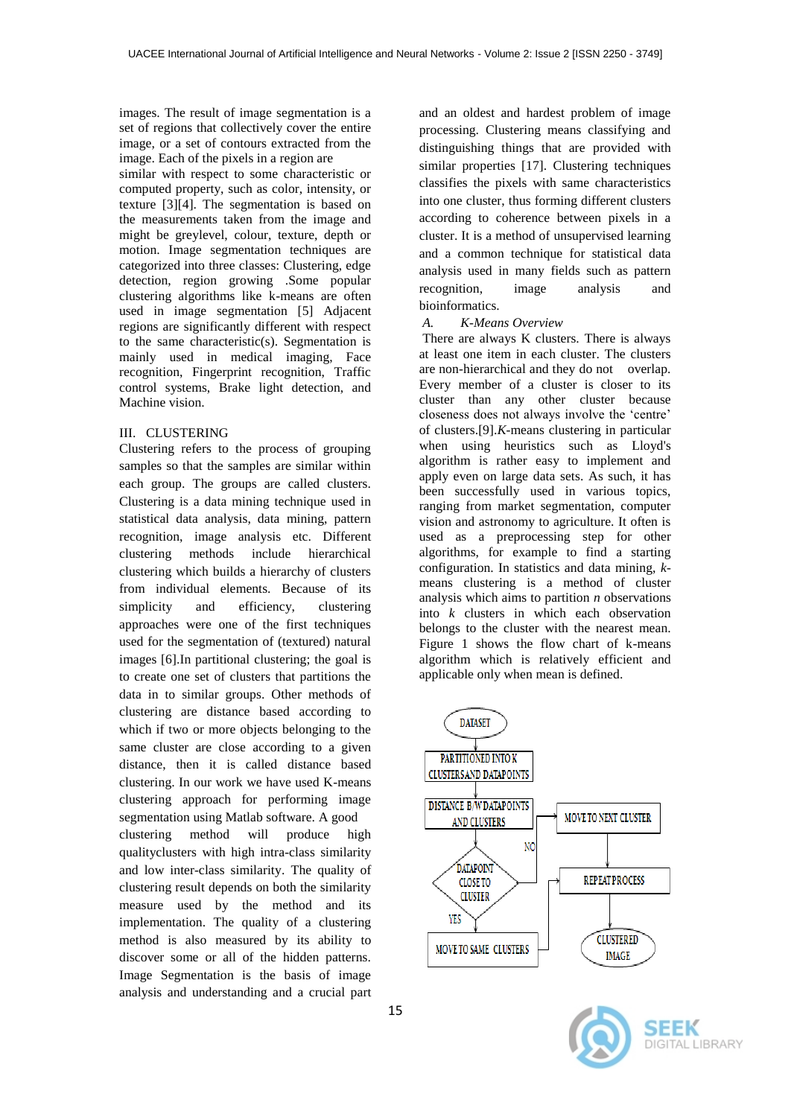images. The result of image segmentation is a set of regions that collectively cover the entire image, or a set of contours extracted from the image. Each of the pixels in a region are

similar with respect to some characteristic or computed property, such as color, intensity, or texture [3][4]. The segmentation is based on the measurements taken from the image and might be greylevel, colour, texture, depth or motion. Image segmentation techniques are categorized into three classes: Clustering, edge detection, region growing .Some popular clustering algorithms like k-means are often used in image segmentation [5] Adjacent regions are significantly different with respect to the same characteristic(s). Segmentation is mainly used in medical imaging, Face recognition, Fingerprint recognition, Traffic control systems, Brake light detection, and Machine vision.

## III. CLUSTERING

Clustering refers to the process of grouping samples so that the samples are similar within each group. The groups are called clusters. Clustering is a data mining technique used in statistical data analysis, data mining, pattern recognition, image analysis etc. Different clustering methods include hierarchical clustering which builds a hierarchy of clusters from individual elements. Because of its simplicity and efficiency, clustering approaches were one of the first techniques used for the segmentation of (textured) natural images [6].In partitional clustering; the goal is to create one set of clusters that partitions the data in to similar groups. Other methods of clustering are distance based according to which if two or more objects belonging to the same cluster are close according to a given distance, then it is called distance based clustering. In our work we have used K-means clustering approach for performing image segmentation using Matlab software. A good clustering method will produce high qualityclusters with high intra-class similarity and low inter-class similarity. The quality of clustering result depends on both the similarity measure used by the method and its implementation. The quality of a clustering method is also measured by its ability to discover some or all of the hidden patterns. Image Segmentation is the basis of image analysis and understanding and a crucial part

and an oldest and hardest problem of image processing. Clustering means classifying and distinguishing things that are provided with similar properties [17]. Clustering techniques classifies the pixels with same characteristics into one cluster, thus forming different clusters according to coherence between pixels in a cluster. It is a method of unsupervised learning and a common technique for statistical data analysis used in many fields such as pattern recognition, image analysis and bioinformatics.

## *A. K-Means Overview*

There are always K clusters. There is always at least one item in each cluster. The clusters are non-hierarchical and they do not overlap. Every member of a cluster is closer to its cluster than any other cluster because closeness does not always involve the "centre" of clusters.[9].*K*-means clustering in particular when using heuristics such as Lloyd's algorithm is rather easy to implement and apply even on large data sets. As such, it has been successfully used in various topics, ranging from market segmentation, computer vision and astronomy to agriculture. It often is used as a preprocessing step for other algorithms, for example to find a starting configuration. In statistics and data mining, *k*means clustering is a method of cluster analysis which aims to partition *n* observations into *k* clusters in which each observation belongs to the cluster with the nearest mean. Figure 1 shows the flow chart of k-means algorithm which is relatively efficient and applicable only when mean is defined.



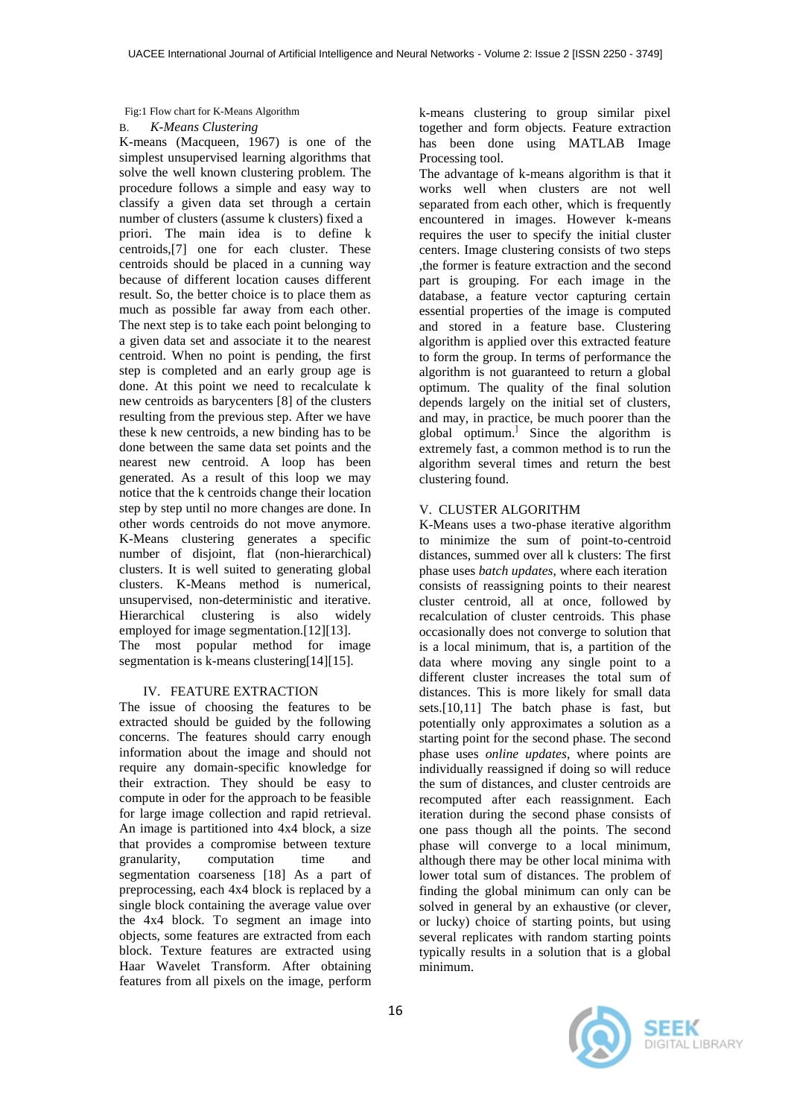#### Fig:1 Flow chart for K-Means Algorithm

## B. *K-Means Clustering*

K-means (Macqueen, 1967) is one of the simplest unsupervised learning algorithms that solve the well known clustering problem. The procedure follows a simple and easy way to classify a given data set through a certain number of clusters (assume k clusters) fixed a priori. The main idea is to define k centroids,[7] one for each cluster. These centroids should be placed in a cunning way because of different location causes different result. So, the better choice is to place them as much as possible far away from each other. The next step is to take each point belonging to a given data set and associate it to the nearest centroid. When no point is pending, the first step is completed and an early group age is done. At this point we need to recalculate k new centroids as barycenters [8] of the clusters resulting from the previous step. After we have these k new centroids, a new binding has to be done between the same data set points and the nearest new centroid. A loop has been generated. As a result of this loop we may notice that the k centroids change their location step by step until no more changes are done. In other words centroids do not move anymore. K-Means clustering generates a specific number of disjoint, flat (non-hierarchical) clusters. It is well suited to generating global clusters. K-Means method is numerical, unsupervised, non-deterministic and iterative. Hierarchical clustering is also widely employed for image segmentation.[12][13]. The most popular method for image segmentation is k-means clustering[14][15].

# IV. FEATURE EXTRACTION

The issue of choosing the features to be extracted should be guided by the following concerns. The features should carry enough information about the image and should not require any domain-specific knowledge for their extraction. They should be easy to compute in oder for the approach to be feasible for large image collection and rapid retrieval. An image is partitioned into 4x4 block, a size that provides a compromise between texture granularity, computation time and segmentation coarseness [18] As a part of preprocessing, each 4x4 block is replaced by a single block containing the average value over the 4x4 block. To segment an image into objects, some features are extracted from each block. Texture features are extracted using Haar Wavelet Transform. After obtaining features from all pixels on the image, perform

k-means clustering to group similar pixel together and form objects. Feature extraction has been done using MATLAB Image Processing tool.

The advantage of k-means algorithm is that it works well when clusters are not well separated from each other, which is frequently encountered in images. However k-means requires the user to specify the initial cluster centers. Image clustering consists of two steps ,the former is feature extraction and the second part is grouping. For each image in the database, a feature vector capturing certain essential properties of the image is computed and stored in a feature base. Clustering algorithm is applied over this extracted feature to form the group. In terms of performance the algorithm is not guaranteed to return a global optimum. The quality of the final solution depends largely on the initial set of clusters, and may, in practice, be much poorer than the global optimum.] Since the algorithm is extremely fast, a common method is to run the algorithm several times and return the best clustering found.

## V. CLUSTER ALGORITHM

K-Means uses a two-phase iterative algorithm to minimize the sum of point-to-centroid distances, summed over all k clusters: The first phase uses *batch updates*, where each iteration consists of reassigning points to their nearest cluster centroid, all at once, followed by recalculation of cluster centroids. This phase occasionally does not converge to solution that is a local minimum, that is, a partition of the data where moving any single point to a different cluster increases the total sum of distances. This is more likely for small data sets.[10,11] The batch phase is fast, but potentially only approximates a solution as a starting point for the second phase. The second phase uses *online updates*, where points are individually reassigned if doing so will reduce the sum of distances, and cluster centroids are recomputed after each reassignment. Each iteration during the second phase consists of one pass though all the points. The second phase will converge to a local minimum, although there may be other local minima with lower total sum of distances. The problem of finding the global minimum can only can be solved in general by an exhaustive (or clever, or lucky) choice of starting points, but using several replicates with random starting points typically results in a solution that is a global minimum.

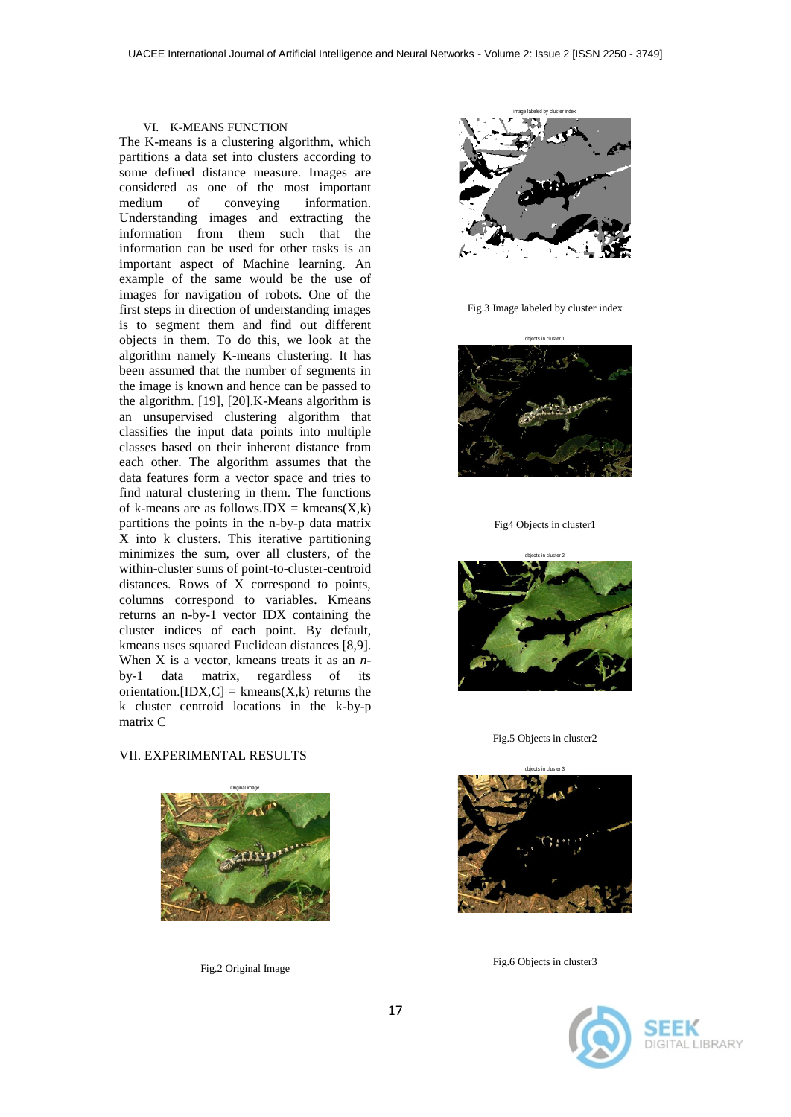#### VI. K-MEANS FUNCTION

The K-means is a clustering algorithm, which partitions a data set into clusters according to some defined distance measure. Images are considered as one of the most important medium of conveying information. Understanding images and extracting the information from them such that the information can be used for other tasks is an important aspect of Machine learning. An example of the same would be the use of images for navigation of robots. One of the first steps in direction of understanding images is to segment them and find out different objects in them. To do this, we look at the algorithm namely K-means clustering. It has been assumed that the number of segments in the image is known and hence can be passed to the algorithm. [19], [20].K-Means algorithm is an unsupervised clustering algorithm that classifies the input data points into multiple classes based on their inherent distance from each other. The algorithm assumes that the data features form a vector space and tries to find natural clustering in them. The functions of k-means are as follows.IDX =  $k$ means $(X, k)$ partitions the points in the n-by-p data matrix X into k clusters. This iterative partitioning minimizes the sum, over all clusters, of the within-cluster sums of point-to-cluster-centroid distances. Rows of X correspond to points, columns correspond to variables. Kmeans returns an n-by-1 vector IDX containing the cluster indices of each point. By default, kmeans uses squared Euclidean distances [8,9]. When X is a vector, kmeans treats it as an *n*by-1 data matrix, regardless of its orientation.  $[IDX, C] = kmeans(X, k)$  returns the k cluster centroid locations in the k-by-p matrix C

#### VII. EXPERIMENTAL RESULTS



Fig.2 Original Image



Fig.3 Image labeled by cluster index



Fig4 Objects in cluster1



Fig.5 Objects in cluster2



Fig.6 Objects in cluster3

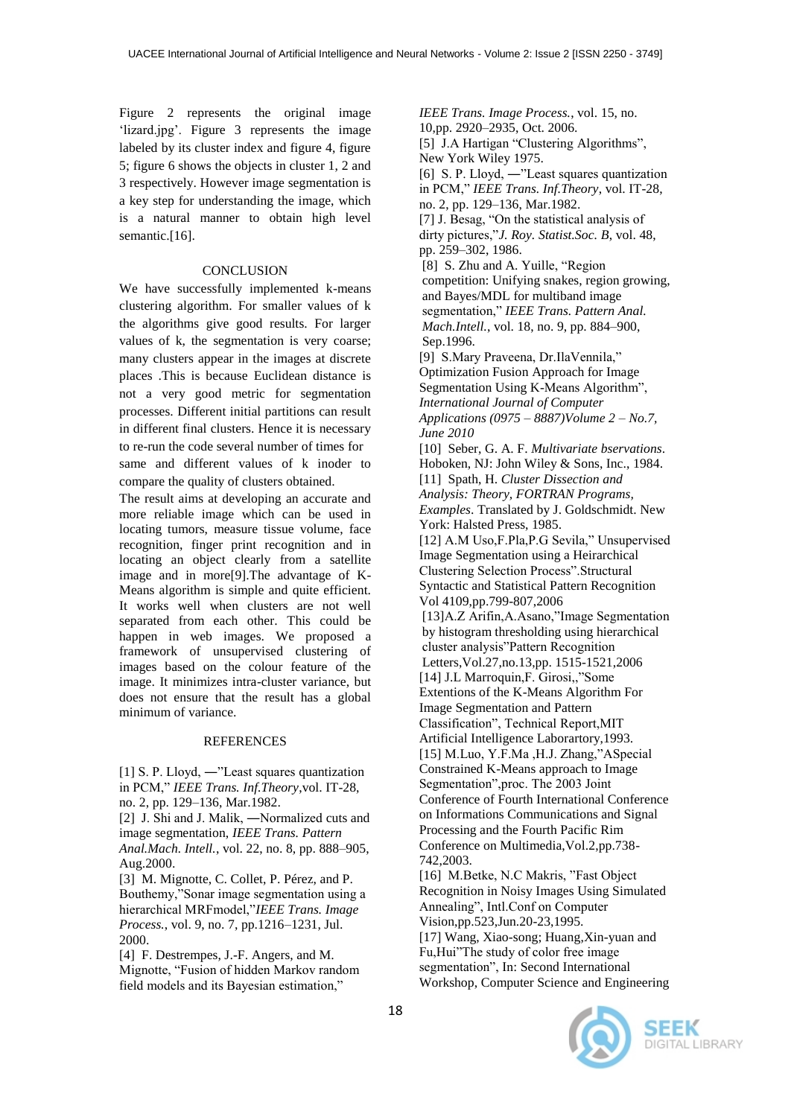Figure 2 represents the original image 'lizard.jpg'. Figure 3 represents the image labeled by its cluster index and figure 4, figure 5; figure 6 shows the objects in cluster 1, 2 and 3 respectively. However image segmentation is a key step for understanding the image, which is a natural manner to obtain high level semantic.<sup>[16]</sup>.

## **CONCLUSION**

We have successfully implemented k-means clustering algorithm. For smaller values of k the algorithms give good results. For larger values of k, the segmentation is very coarse; many clusters appear in the images at discrete places .This is because Euclidean distance is not a very good metric for segmentation processes. Different initial partitions can result in different final clusters. Hence it is necessary to re-run the code several number of times for same and different values of k inoder to compare the quality of clusters obtained.

The result aims at developing an accurate and more reliable image which can be used in locating tumors, measure tissue volume, face recognition, finger print recognition and in locating an object clearly from a satellite image and in more[9].The advantage of K-Means algorithm is simple and quite efficient. It works well when clusters are not well separated from each other. This could be happen in web images. We proposed a framework of unsupervised clustering of images based on the colour feature of the image. It minimizes intra-cluster variance, but does not ensure that the result has a global minimum of variance.

#### **REFERENCES**

[1] S. P. Lloyd, ―"Least squares quantization in PCM," *IEEE Trans. Inf.Theory*,vol. IT-28, no. 2, pp. 129–136, Mar.1982.

[2] J. Shi and J. Malik, ―Normalized cuts and image segmentation, *IEEE Trans. Pattern Anal.Mach. Intell.*, vol. 22, no. 8, pp. 888–905, Aug.2000.

[3] M. Mignotte, C. Collet, P. Pérez, and P. Bouthemy,"Sonar image segmentation using a hierarchical MRFmodel,"*IEEE Trans. Image Process.*, vol. 9, no. 7, pp.1216–1231, Jul. 2000.

[4] F. Destrempes, J.-F. Angers, and M. Mignotte, "Fusion of hidden Markov random field models and its Bayesian estimation,"

*IEEE Trans. Image Process.*, vol. 15, no. 10,pp. 2920–2935, Oct. 2006. [5] J.A Hartigan "Clustering Algorithms", New York Wiley 1975. [6] S. P. Lloyd, ―"Least squares quantization in PCM," *IEEE Trans. Inf.Theory*, vol. IT-28, no. 2, pp. 129–136, Mar.1982. [7] J. Besag, "On the statistical analysis of dirty pictures,"*J. Roy. Statist.Soc. B*, vol. 48, pp. 259–302, 1986. [8] S. Zhu and A. Yuille, "Region competition: Unifying snakes, region growing, and Bayes/MDL for multiband image segmentation," *IEEE Trans. Pattern Anal. Mach.Intell.*, vol. 18, no. 9, pp. 884–900, Sep.1996. [9] S.Mary Praveena, Dr.IlaVennila," Optimization Fusion Approach for Image Segmentation Using K-Means Algorithm", *International Journal of Computer Applications (0975 – 8887)Volume 2 – No.7, June 2010* [10] Seber, G. A. F. *Multivariate bservations*. Hoboken, NJ: John Wiley & Sons, Inc., 1984. [11] Spath, H. *Cluster Dissection and Analysis: Theory, FORTRAN Programs, Examples*. Translated by J. Goldschmidt. New York: Halsted Press, 1985. [12] A.M Uso,F.Pla,P.G Sevila," Unsupervised Image Segmentation using a Heirarchical Clustering Selection Process".Structural Syntactic and Statistical Pattern Recognition Vol 4109,pp.799-807,2006 [13]A.Z Arifin,A.Asano,"Image Segmentation by histogram thresholding using hierarchical cluster analysis"Pattern Recognition Letters,Vol.27,no.13,pp. 1515-1521,2006 [14] J.L Marroquin,F. Girosi,,"Some Extentions of the K-Means Algorithm For Image Segmentation and Pattern Classification", Technical Report,MIT Artificial Intelligence Laborartory,1993. [15] M.Luo, Y.F.Ma ,H.J. Zhang,"ASpecial Constrained K-Means approach to Image Segmentation",proc. The 2003 Joint Conference of Fourth International Conference on Informations Communications and Signal Processing and the Fourth Pacific Rim Conference on Multimedia,Vol.2,pp.738- 742,2003. [16] M.Betke, N.C Makris, "Fast Object Recognition in Noisy Images Using Simulated Annealing", Intl.Conf on Computer Vision,pp.523,Jun.20-23,1995. [17] Wang, Xiao-song; Huang,Xin-yuan and Fu,Hui"The study of color free image segmentation", In: Second International Workshop, Computer Science and Engineering